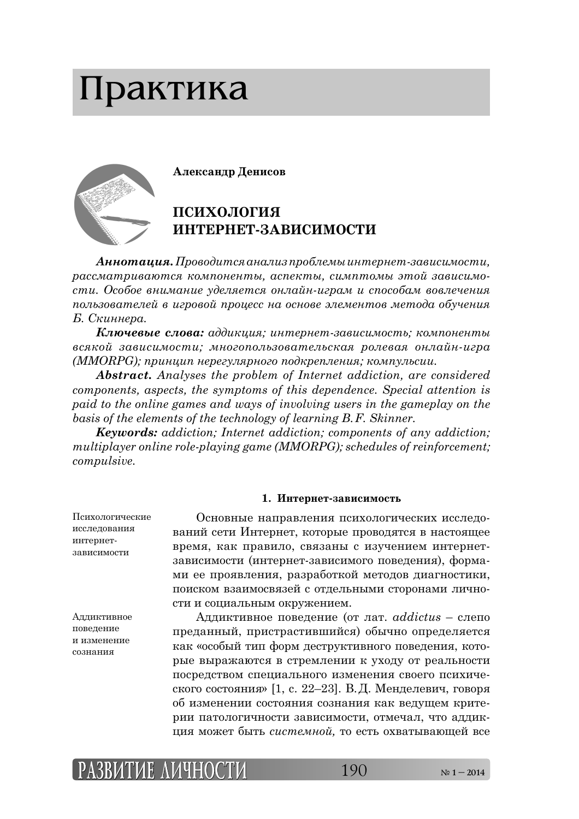# Практика



 $A$ **ннотация.** Проводится анализ проблемы интернет-зависимости,  $\bm{p}$ ассматриваются компоненты, аспекты, симптомы этой зависимо $cmu$ . Особое внимание уделяется онлайн-играм и способам вовлечения *ȝȜșȪȕȜȐȎȠȓșȓȗ Ȑ ȖȑȞȜȐȜȗ ȝȞȜȤȓȟȟ țȎ ȜȟțȜȐȓ ȫșȓȚȓțȠȜȐ ȚȓȠȜȒȎ ȜȏȡȥȓțȖȭ Б. Скиннера.* 

**Ключевые слова:** аддикция; интернет-зависимость; компоненты *ȐȟȭȘȜȗ ȕȎȐȖȟȖȚȜȟȠȖ; ȚțȜȑȜȝȜșȪȕȜȐȎȠȓșȪȟȘȎȭ ȞȜșȓȐȎȭ ȜțșȎȗț-ȖȑȞȎ (MMORPG); ȝȞȖțȤȖȝ țȓȞȓȑȡșȭȞțȜȑȜ ȝȜȒȘȞȓȝșȓțȖȭ; ȘȜȚȝȡșȪȟȖȖ.*

*Abstract. Analyses the problem of Internet addiction, are considered components, aspects, the symptoms of this dependence. Special attention is paid to the online games and ways of involving users in the gameplay on the basis of the elements of the technology of learning B. F. Skinner.*

*Keywords: addiction; Internet addiction; components of any addiction; multiplayer online role-playing game (MMORPG); schedules of reinforcement; compulsive.*

## **1. Интернет-зависимость**

Психологические исследования интернет-ЗЯВИСИМОСТИ

Аддиктивное поведение и изменение сознания

Основные направления психологических исследований сети Интернет, которые проводятся в настоящее время, как правило, связаны с изучением интернетзависимости (интернет-зависимого поведения), формами ее проявления, разработкой методов диагностики, тоиском взаимосвязей с отдельными сторонами личности и социальным окружением.

 $A$ ддиктивное поведение (от лат.  $addictus -$  слепо преданный, пристрастившийся) обычно определяется как «особый тип форм деструктивного поведения, которые выражаются в стремлении к уходу от реальности тосредством специального изменения своего психического состояния» [1, с. 22–23]. В.Д. Менделевич, говоря об изменении состояния сознания как ведущем критерии патологичности зависимости, отмечал, что аддик-ȤȖȭ ȚȜȔȓȠ ȏȩȠȪ *ȟȖȟȠȓȚțȜȗ,* ȠȜ ȓȟȠȪ ȜȣȐȎȠȩȐȎȬȧȓȗ Ȑȟȓ

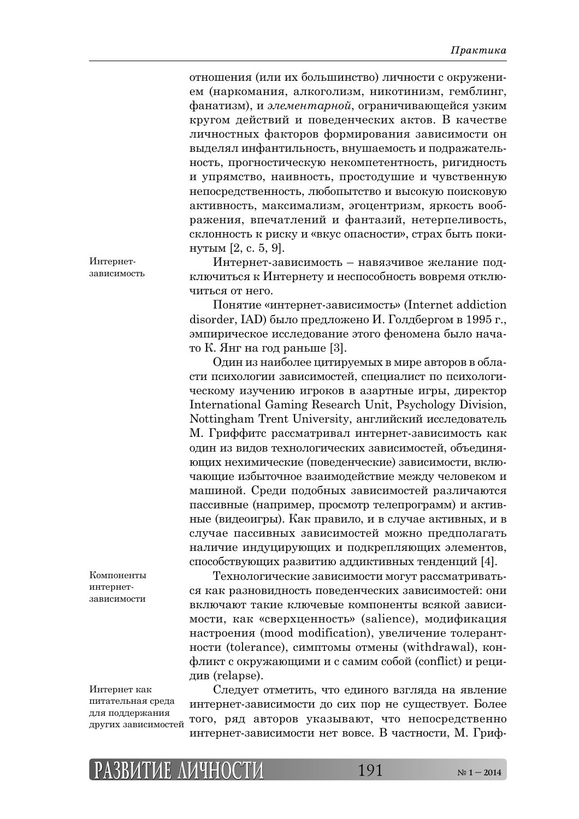отношения (или их большинство) личности с окружением (наркомания, алкоголизм, никотинизм, гемблинг, фанатизм), и элементарной, ограничивающейся узким кругом действий и поведенческих актов. В качестве личностных факторов формирования зависимости он выделял инфантильность, внушаемость и подражательность, прогностическую некомпетентность, ригидность и упрямство, наивность, простодушие и чувственную непосредственность, любопытство и высокую поисковую активность, максимализм, эгоцентризм, яркость воображения, впечатлений и фантазий, нетерпеливость, склонность к риску и «вкус опасности», страх быть покинутым  $[2, c. 5, 9]$ .

Интернет-зависимость – навязчивое желание подключиться к Интернету и неспособность вовремя отключиться от него.

Понятие «интернет-зависимость» (Internet addiction disorder, IAD) было предложено И. Голдбергом в 1995 г., эмпирическое исследование этого феномена было начато К. Янг на год раньше  $[3]$ .

Один из наиболее цитируемых в мире авторов в области психологии зависимостей, специалист по психологическому изучению игроков в азартные игры, директор International Gaming Research Unit, Psychology Division, Nottingham Trent University, английский исследователь М. Гриффитс рассматривал интернет-зависимость как один из видов технологических зависимостей, объединяющих нехимические (поведенческие) зависимости, включающие избыточное взаимодействие между человеком и машиной. Среди подобных зависимостей различаются пассивные (например, просмотр телепрограмм) и активные (видеоигры). Как правило, и в случае активных, и в случае пассивных зависимостей можно предполагать наличие индуцирующих и подкрепляющих элементов, способствующих развитию аддиктивных тенденций [4].

Технологические зависимости могут рассматриваться как разновидность поведенческих зависимостей: они включают такие ключевые компоненты всякой зависимости, как «сверхценность» (salience), модификация настроения (mood modification), увеличение толерантности (tolerance), симптомы отмены (withdrawal), конфликт с окружающими и с самим собой (conflict) и реци-ȒȖȐ (relapse).

Интернет как питательная среда для поддержания других зависимостей

Компоненты интернет-ЗЯВИСИМОСТИ

> Следует отметить, что единого взгляда на явление интернет-зависимости до сих пор не существует. Более того, ряд авторов указывают, что непосредственно интернет-зависимости нет вовсе. В частности, М. Гриф-

Интернетзависимость

**РАЗВИТИЕ АЗВИТИЕ ЛИЧНОСТИ ИЧНОСТИ**191 **№ 1 – 2014**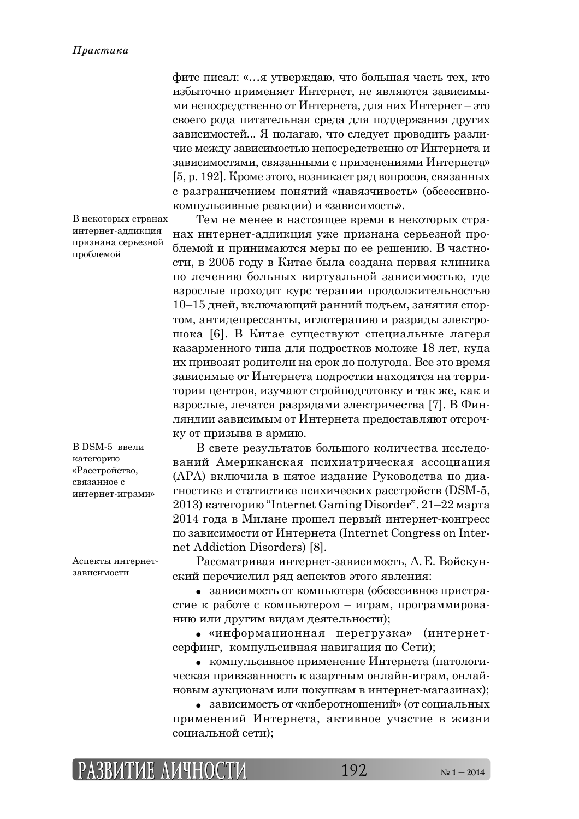фитс писал: «…я утверждаю, что большая часть тех, кто избыточно применяет Интернет, не являются зависимыми непосредственно от Интернета, для них Интернет – это своего рода питательная среда для поддержания других зависимостей... Я полагаю, что следует проводить различие между зависимостью непосредственно от Интернета и зависимостями, связанными с применениями Интернета» [5, р. 192]. Кроме этого, возникает ряд вопросов, связанных с разграничением понятий «навязчивость» (обсессивнокомпульсивные реакции) и «зависимость».

В некоторых странах интернет-аддикция признана серьезной проблемой

В DSM-5 ввели категорию «Расстройство, связанное с интернет-играми»

Аспекты интернетзависимости

Тем не менее в настоящее время в некоторых странах интернет-аддикция уже признана серьезной проблемой и принимаются меры по ее решению. В частности, в 2005 году в Китае была создана первая клиника по лечению больных виртуальной зависимостью, где взрослые проходят курс терапии продолжительностью 10–15 дней, включающий ранний подъем, занятия спортом, антидепрессанты, иглотерапию и разряды электрошока [6]. В Китае существуют специальные лагеря казарменного типа для подростков моложе 18 лет, куда их привозят родители на срок до полугода. Все это время зависимые от Интернета подростки находятся на территории центров, изучают стройподготовку и так же, как и взрослые, лечатся разрядами электричества [7]. В Финляндии зависимым от Интернета предоставляют отсрочку от призыва в армию.

В свете результатов большого количества исследований Американская психиатрическая ассоциация (APA) включила в пятое издание Руководства по диагностике и статистике психических расстройств (DSM-5,  $2013$ ) категорию "Internet Gaming Disorder".  $21-22$  марта 2014 года в Милане прошел первый интернет-конгресс по зависимости от Интернета (Internet Congress on Internet Addiction Disorders) [8].

Рассматривая интернет-зависимость, А. Е. Войскунский перечислил ряд аспектов этого явления:

• зависимость от компьютера (обсессивное пристрастие к работе с компьютером – играм, программированию или другим видам деятельности);

• «информационная перегрузка» (интернетсерфинг, компульсивная навигация по Сети);

• компульсивное применение Интернета (патологическая привязанность к азартным онлайн-играм, онлайновым аукционам или покупкам в интернет-магазинах);

• зависимость от «киберотношений» (от социальных применений Интернета, активное участие в жизни социальной сети);

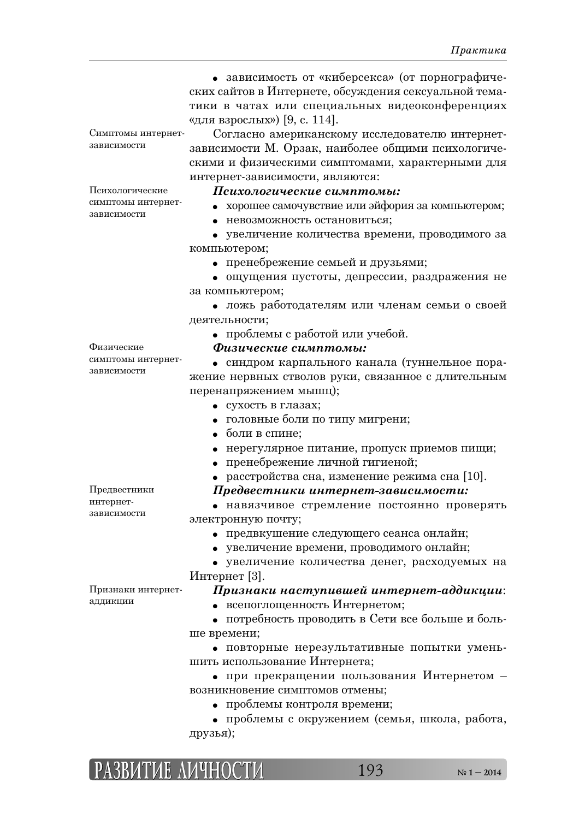|                                   | • зависимость от «киберсекса» (от порнографиче-       |
|-----------------------------------|-------------------------------------------------------|
|                                   | ских сайтов в Интернете, обсуждения сексуальной тема- |
|                                   | тики в чатах или специальных видеоконференциях        |
|                                   | «для взрослых») [9, с. 114].                          |
| Симптомы интернет-                | Согласно американскому исследователю интернет-        |
| зависимости                       | зависимости М. Орзак, наиболее общими психологиче-    |
|                                   | скими и физическими симптомами, характерными для      |
|                                   |                                                       |
| Психологические                   | интернет-зависимости, являются:                       |
| симптомы интернет-<br>зависимости | Психологические симптомы:                             |
|                                   | хорошее самочувствие или эйфория за компьютером;      |
|                                   | • Невозможность остановиться;                         |
|                                   | • увеличение количества времени, проводимого за       |
|                                   | компьютером;                                          |
|                                   | • пренебрежение семьей и друзьями;                    |
|                                   | • ощущения пустоты, депрессии, раздражения не         |
|                                   | за компьютером;                                       |
|                                   | • ложь работодателям или членам семьи о своей         |
|                                   | деятельности;                                         |
|                                   | • проблемы с работой или учебой.                      |
| Физические                        | Физические симптомы:                                  |
| симптомы интернет-<br>зависимости | • синдром карпального канала (туннельное пора-        |
|                                   | жение нервных стволов руки, связанное с длительным    |
|                                   | перенапряжением мышц);                                |
|                                   |                                                       |
|                                   | • сухость в глазах;                                   |
|                                   | • головные боли по типу мигрени;                      |
|                                   | • боли в спине;                                       |
|                                   | • нерегулярное питание, пропуск приемов пищи;         |
|                                   | • пренебрежение личной гигиеной;                      |
|                                   | расстройства сна, изменение режима сна [10].          |
| Предвестники                      | Предвестники интернет-зависимости:                    |
| интернет-                         | • навязчивое стремление постоянно проверять           |
| зависимости                       | электронную почту;                                    |
|                                   | • предвкушение следующего сеанса онлайн;              |
|                                   | • увеличение времени, проводимого онлайн;             |
|                                   | • увеличение количества денег, расходуемых на         |
|                                   | Интернет [3].                                         |
| Признаки интернет-                | Признаки наступившей интернет-аддикции:               |
| аддикции                          | всепоглощенность Интернетом;<br>$\bullet$             |
|                                   | • потребность проводить в Сети все больше и боль-     |
|                                   |                                                       |
|                                   | ше времени;                                           |
|                                   | • повторные нерезультативные попытки умень-           |
|                                   | шить использование Интернета;                         |
|                                   |                                                       |
|                                   | • при прекращении пользования Интернетом -            |
|                                   | возникновение симптомов отмены;                       |
|                                   | • проблемы контроля времени;                          |
|                                   | • проблемы с окружением (семья, школа, работа,        |
|                                   | друзья);                                              |

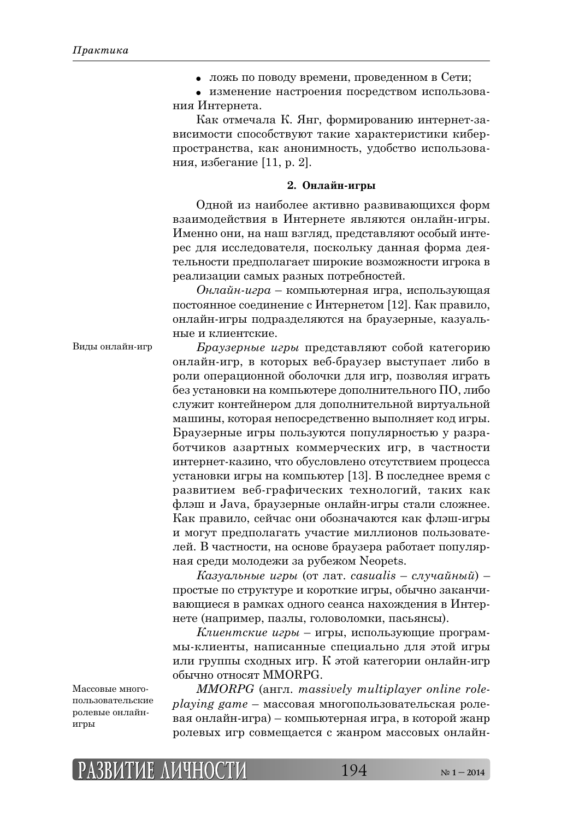• ложь по поводу времени, проведенном в Сети;

• изменение настроения посредством использования Интернета.

Как отмечала К. Янг, формированию интернет-зависимости способствуют такие характеристики киберпространства, как анонимность, удобство использования, избегание [11, р. 2].

## **2. Онлайн-игры**

Одной из наиболее активно развивающихся форм взаимодействия в Интернете являются онлайн-игры. Именно они, на наш взгляд, представляют особый интерес для исследователя, поскольку данная форма деятельности предполагает широкие возможности игрока в реализации самых разных потребностей.

 $Q$ *нлайн-игра* – компьютерная игра, использующая постоянное соединение с Интернетом [12]. Как правило, онлайн-игры подразделяются на браузерные, казуальные и клиентские.

#### Виды онлайн-игр

*Браузерные игры* представляют собой категорию онлайн-игр, в которых веб-браузер выступает либо в роли операционной оболочки для игр, позволяя играть без установки на компьютере дополнительного  $\Pi$ О, либо служит контейнером для дополнительной виртуальной машины, которая непосредственно выполняет код игры. Браузерные игры пользуются популярностью у разработчиков азартных коммерческих игр, в частности интернет-казино, что обусловлено отсутствием процесса установки игры на компьютер [13]. В последнее время с развитием веб-графических технологий, таких как флэш и Java, браузерные онлайн-игры стали сложнее. Как правило, сейчас они обозначаются как флэш-игры и могут предполагать участие миллионов пользователей. В частности, на основе браузера работает популярная среди молодежи за рубежом Neopets.

*Kaзуальные игры* (от лат. *casualis – случайный*) – простые по структуре и короткие игры, обычно заканчивающиеся в рамках одного сеанса нахождения в Интернете (например, пазлы, головоломки, пасьянсы).

*Клиентские игры* – игры, использующие программы-клиенты, написанные специально для этой игры или группы сходных игр. К этой категории онлайн-игр обычно относят MMORPG.

*MMORPG* (англ. *massively multiplayer online roleplaying game* – массовая многопользовательская ролевая онлайн-игра) – компьютерная игра, в которой жанр ролевых игр совмещается с жанром массовых онлайн-

Массовые многопользовательские ролевые онлайнигры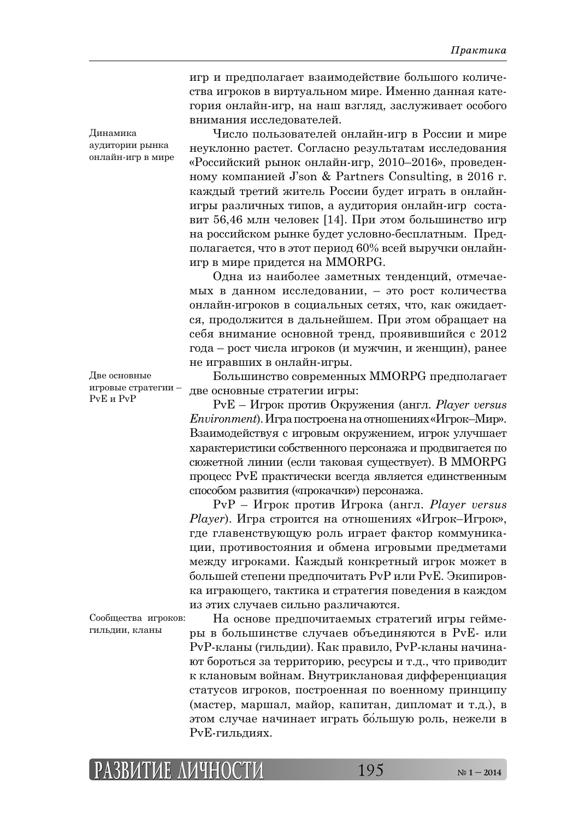игр и предполагает взаимодействие большого количества игроков в виртуальном мире. Именно данная категория онлайн-игр, на наш взгляд, заслуживает особого внимания исследователей.

Число пользователей онлайн-игр в России и мире неуклонно растет. Согласно результатам исследования «Российский рынок онлайн-игр, 2010–2016», проведенțȜȚȡ ȘȜȚȝȎțȖȓȗ J'son & Partners Consulting, Ȑ 2016 ȑ. каждый третий житель России будет играть в онлайнигры различных типов, а аудитория онлайн-игр составит 56,46 млн человек [14]. При этом большинство игр на российском рынке будет условно-бесплатным. Предполагается, что в этот период 60% всей выручки онлайнигр в мире придется на MMORPG.

Одна из наиболее заметных тенденций, отмечаемых в данном исследовании, – это рост количества онлайн-игроков в социальных сетях, что, как ожидается, продолжится в дальнейшем. При этом обращает на себя внимание основной тренд, проявившийся с 2012 года – рост числа игроков (и мужчин, и женщин), ранее не игравших в онлайн-игры.

Большинство современных MMORPG предполагает две основные стратегии игры:

PvE – Игрок против Окружения (англ. *Player versus Environment*). Игра построена на отношениях «Игрок–Мир». Взаимодействуя с игровым окружением, игрок улучшает характеристики собственного персонажа и продвигается по сюжетной линии (если таковая существует). В MMORPG процесс PvE практически всегда является единственным способом развития («прокачки») персонажа.

PvP – Игрок против Игрока (англ. *Player versus Player*). Игра строится на отношениях «Игрок-Игрок», где главенствующую роль играет фактор коммуникации, противостояния и обмена игровыми предметами между игроками. Каждый конкретный игрок может в большей степени предпочитать PvP или PvE. Экипировка играющего, тактика и стратегия поведения в каждом из этих случаев сильно различаются.

На основе предпочитаемых стратегий игры геймеры в большинстве случаев объединяются в PvE- или PvP-кланы (гильдии). Как правило, PvP-кланы начинают бороться за территорию, ресурсы и т.д., что приводит к клановым войнам. Внутриклановая дифференциация статусов игроков, построенная по военному принципу (мастер, маршал, майор, капитан, дипломат и т.д.), в этом случае начинает играть бо́льшую роль, нежели в PvE-гильдиях.

Динамика аудитории рынка онлайн-игр в мире

Две основные игровые стратегии – PvE Ȗ PvP

Сообщества игроков: гильдии, кланы

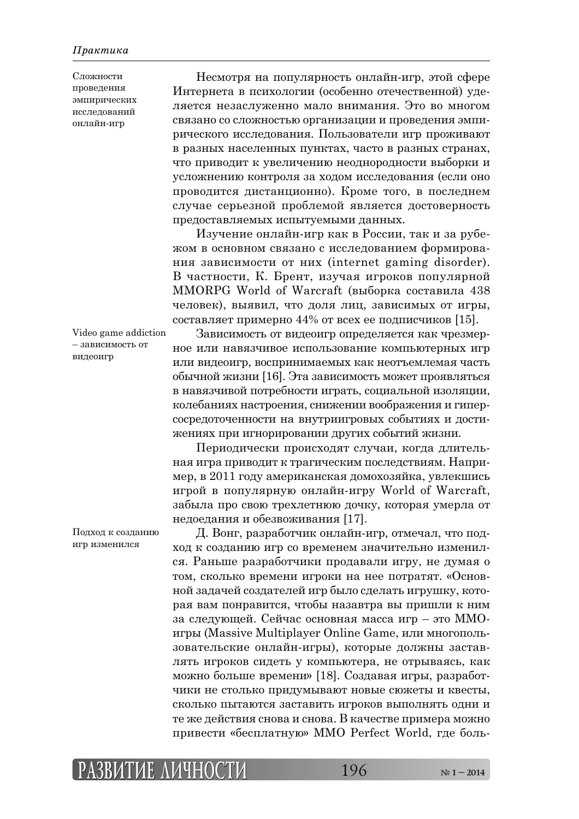Сложности проведения эмпирических исследований онлайн-игр

Несмотря на популярность онлайн-игр, этой сфере Интернета в психологии (особенно отечественной) уделяется незаслуженно мало внимания. Это во многом связано со сложностью организации и проведения эмпирического исследования. Пользователи игр проживают в разных населенных пунктах, часто в разных странах, что приводит к увеличению неоднородности выборки и усложнению контроля за ходом исследования (если оно проводится дистанционно). Кроме того, в последнем случае серьезной проблемой является достоверность предоставляемых испытуемыми данных.

Изучение онлайн-игр как в России, так и за рубежом в основном связано с исследованием формирования зависимости от них (internet gaming disorder). В частности, К. Брент, изучая игроков популярной MMORPG World of Warcraft (выборка составила 438 человек), выявил, что доля лиц, зависимых от игры, составляет примерно 44% от всех ее подписчиков [15].

Video game addiction – зависимость от видеоигр

Зависимость от видеоигр определяется как чрезмерное или навязчивое использование компьютерных игр или видеоигр, воспринимаемых как неотъемлемая часть обычной жизни [16]. Эта зависимость может проявляться в навязчивой потребности играть, социальной изоляции, колебаниях настроения, снижении воображения и гиперсосредоточенности на внутриигровых событиях и достижениях при игнорировании других событий жизни.

Периодически происходят случаи, когда длительная игра приводит к трагическим последствиям. Например, в 2011 году американская домохозяйка, увлекшись игрой в популярную онлайн-игру World of Warcraft, забыла про свою трехлетнюю дочку, которая умерла от недоедания и обезвоживания [17].

Д. Вонг, разработчик онлайн-игр, отмечал, что подход к созданию игр со временем значительно изменился. Раньше разработчики продавали игру, не думая о том, сколько времени игроки на нее потратят. «Основной задачей создателей игр было сделать игрушку, которая вам понравится, чтобы назавтра вы пришли к ним за следующей. Сейчас основная масса игр - это ММОигры (Massive Multiplayer Online Game, или многопользовательские онлайн-игры), которые должны заставлять игроков сидеть у компьютера, не отрываясь, как можно больше времени» [18]. Создавая игры, разработчики не столько придумывают новые сюжеты и квесты, сколько пытаются заставить игроков выполнять одни и те же действия снова и снова. В качестве примера можно привести «бесплатную» MMO Perfect World, где боль-

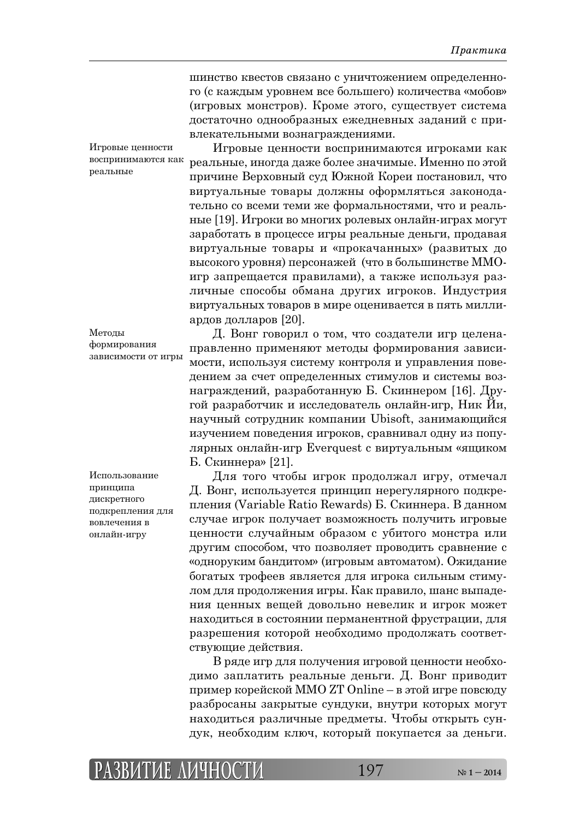шинство квестов связано с уничтожением определенного (с каждым уровнем все большего) количества «мобов» (игровых монстров). Кроме этого, существует система достаточно однообразных ежедневных заданий с привлекательными вознаграждениями.

Игровые ценности воспринимаются как реальные

Игровые ценности воспринимаются игроками как реальные, иногда даже более значимые. Именно по этой причине Верховный суд Южной Кореи постановил, что виртуальные товары должны оформляться законодательно со всеми теми же формальностями, что и реальные [19]. Игроки во многих ролевых онлайн-играх могут заработать в процессе игры реальные деньги, продавая виртуальные товары и «прокачанных» (развитых до высокого уровня) персонажей (что в большинстве ММОигр запрещается правилами), а также используя различные способы обмана других игроков. Индустрия виртуальных товаров в мире оценивается в пять миллиардов долларов [20].

Методы формирования зависимости от игры

Использование принципа лискретного подкрепления для вовлечения в онлайн-игру

Д. Вонг говорил о том, что создатели игр целенаправленно применяют методы формирования зависимости, используя систему контроля и управления поведением за счет определенных стимулов и системы вознаграждений, разработанную Б. Скиннером [16]. Другой разработчик и исследователь онлайн-игр, Ник Йи, научный сотрудник компании Ubisoft, занимающийся изучением поведения игроков, сравнивал одну из популярных онлайн-игр Everquest с виртуальным «ящиком Б. Скиннера» [21].

Для того чтобы игрок продолжал игру, отмечал Д. Вонг, используется принцип нерегулярного подкрепления (Variable Ratio Rewards) Б. Скиннера. В данном случае игрок получает возможность получить игровые ценности случайным образом с убитого монстра или другим способом, что позволяет проводить сравнение с «одноруким бандитом» (игровым автоматом). Ожидание богатых трофеев является для игрока сильным стимулом для продолжения игры. Как правило, шанс выпадения ценных вещей довольно невелик и игрок может находиться в состоянии перманентной фрустрации, для разрешения которой необходимо продолжать соответствующие действия.

В ряде игр для получения игровой ценности необходимо заплатить реальные деньги. Д. Вонг приводит пример корейской MMO ZT Online – в этой игре повсюду разбросаны закрытые сундуки, внутри которых могут находиться различные предметы. Чтобы открыть сундук, необходим ключ, который покупается за деньги.

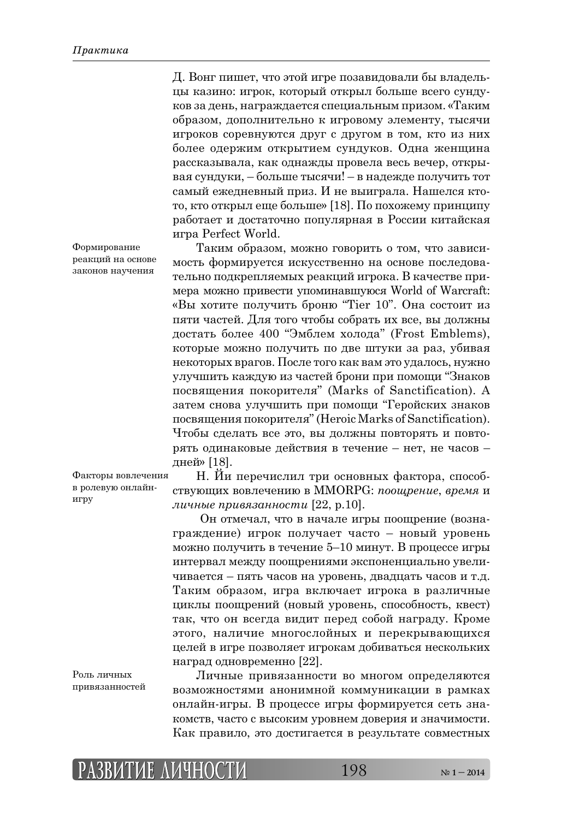Д. Вонг пишет, что этой игре позавидовали бы владельцы казино: игрок, который открыл больше всего сундуков за день, награждается специальным призом. «Таким образом, дополнительно к игровому элементу, тысячи игроков соревнуются друг с другом в том, кто из них более одержим открытием сундуков. Одна женщина рассказывала, как однажды провела весь вечер, открывая сундуки, – больше тысячи! – в надежде получить тот самый ежедневный приз. И не выиграла. Нашелся ктото, кто открыл еще больше» [18]. По похожему принципу работает и достаточно популярная в России китайская ȖȑȞȎ Perfect World.

Таким образом, можно говорить о том, что зависимость формируется искусственно на основе последовательно подкрепляемых реакций игрока. В качестве примера можно привести упоминавшуюся World of Warcraft: «Вы хотите получить броню "Tier 10". Она состоит из пяти частей. Для того чтобы собрать их все, вы должны достать более 400 "Эмблем холода" (Frost Emblems), которые можно получить по две штуки за раз, убивая некоторых врагов. После того как вам это удалось, нужно улучшить каждую из частей брони при помощи "Знаков посвящения покорителя" (Marks of Sanctification). А затем снова улучшить при помощи "Геройских знаков посвящения покорителя" (Heroic Marks of Sanctification). Чтобы сделать все это, вы должны повторять и повторять одинаковые действия в течение - нет, не часов дней» [18].

Н. Йи перечислил три основных фактора, способствующих вовлечению в MMORPG: *поощрение*, время и *личные привязанности* [22, p.10]. Факторы вовлечения

> Он отмечал, что в начале игры поощрение (вознаграждение) игрок получает часто – новый уровень можно получить в течение 5–10 минут. В процессе игры интервал между поощрениями экспоненциально увеличивается – пять часов на уровень, двадцать часов и т.д. Таким образом, игра включает игрока в различные циклы поощрений (новый уровень, способность, квест) так, что он всегда видит перед собой награду. Кроме этого, наличие многослойных и перекрывающихся целей в игре позволяет игрокам добиваться нескольких наград одновременно [22].

Роль личных привязанностей

в ролевую онлайн-

игру

Личные привязанности во многом определяются возможностями анонимной коммуникации в рамках онлайн-игры. В процессе игры формируется сеть знакомств, часто с высоким уровнем доверия и значимости. Как правило, это достигается в результате совместных

Формирование реакций на основе законов научения

**РАЗВИТИЕ АЗВИТИЕ ЛИЧНОСТИ ИЧНОСТИ**198 **№ 1 – 2014**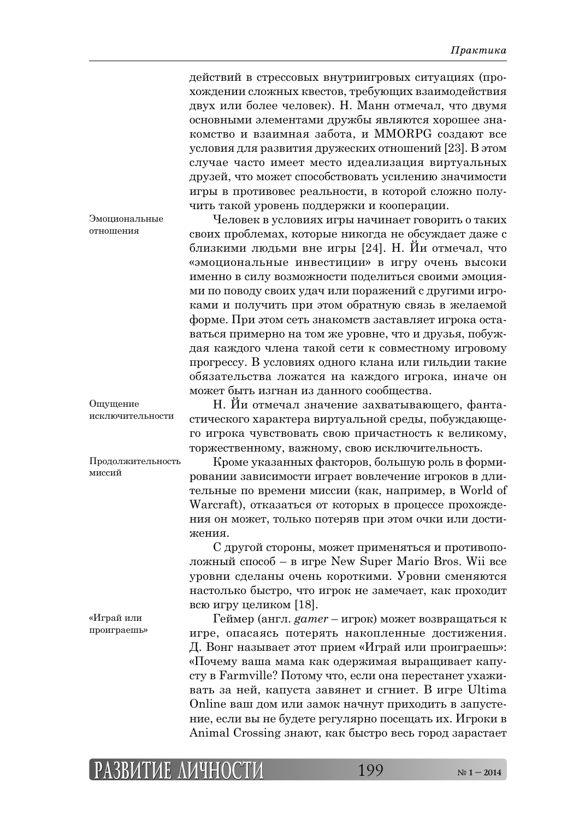действий в стрессовых внутриигровых ситуациях (прохождении сложных квестов, требующих взаимодействия двух или более человек). Н. Манн отмечал, что двумя основными элементами дружбы являются хорошее знакомство и взаимная забота, и MMORPG создают все условия для развития дружеских отношений [23]. В этом случае часто имеет место идеализация виртуальных друзей, что может способствовать усилению значимости игры в противовес реальности, в которой сложно получить такой уровень поддержки и кооперации.

Эмоциональные  $O$ тношения

Человек в условиях игры начинает говорить о таких своих проблемах, которые никогда не обсуждает даже с близкими людьми вне игры [24]. Н. Йи отмечал, что «эмоциональные инвестиции» в игру очень высоки именно в силу возможности поделиться своими эмоциями по поводу своих удач или поражений с другими игроками и получить при этом обратную связь в желаемой форме. При этом сеть знакомств заставляет игрока оставаться примерно на том же уровне, что и друзья, побуждая каждого члена такой сети к совместному игровому прогрессу. В условиях одного клана или гильдии такие обязательства ложатся на каждого игрока, иначе он может быть изгнан из данного сообщества.

Н. Йи отмечал значение захватывающего, фантастического характера виртуальной среды, побуждающего игрока чувствовать свою причастность к великому, торжественному, важному, свою исключительность.

Кроме указанных факторов, большую роль в формировании зависимости играет вовлечение игроков в длительные по времени миссии (как, например, в World of Warcraft), отказаться от которых в процессе прохождения он может, только потеряв при этом очки или достижения.

С другой стороны, может применяться и противоположный способ – в игре New Super Mario Bros. Wii все уровни сделаны очень короткими. Уровни сменяются настолько быстро, что игрок не замечает, как проходит всю игру целиком  $[18]$ .

Геймер (англ. *gamer* – игрок) может возвращаться к игре, опасаясь потерять накопленные достижения. Д. Вонг называет этот прием «Играй или проиграешь»: «Почему ваша мама как одержимая выращивает капусту в Farmville? Потому что, если она перестанет ухаживать за ней, капуста завянет и сгниет. В игре Ultima Online ваш дом или замок начнут приходить в запустение, если вы не будете регулярно посещать их. Игроки в Animal Crossing знают, как быстро весь город зарастает

Ошушение исключительности

Продолжительность миссий

«Играй или проиграешь»

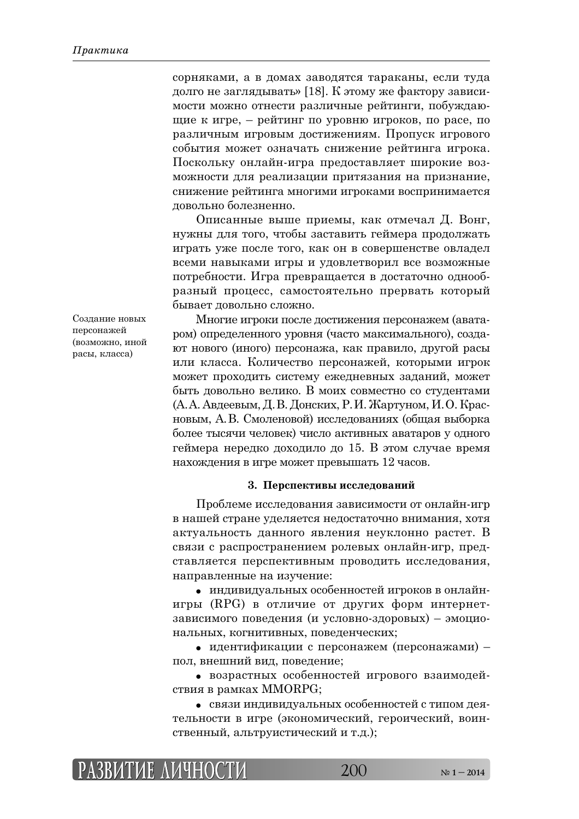сорняками, а в домах заводятся тараканы, если туда долго не заглядывать» [18]. К этому же фактору зависимости можно отнести различные рейтинги, побуждающие к игре, – рейтинг по уровню игроков, по расе, по различным игровым достижениям. Пропуск игрового события может означать снижение рейтинга игрока. Поскольку онлайн-игра предоставляет широкие возможности для реализации притязания на признание, снижение рейтинга многими игроками воспринимается довольно болезненно.

Описанные выше приемы, как отмечал Д. Вонг, нужны для того, чтобы заставить геймера продолжать играть уже после того, как он в совершенстве овладел всеми навыками игры и удовлетворил все возможные потребности. Игра превращается в достаточно однообразный процесс, самостоятельно прервать который бывает довольно сложно.

Создание новых персонажей (возможно, иной расы, класса)

Многие игроки после достижения персонажем (аватаром) определенного уровня (часто максимального), создают нового (иного) персонажа, как правило, другой расы или класса. Количество персонажей, которыми игрок может проходить систему ежедневных заданий, может быть довольно велико. В моих совместно со студентами (А. А. Авдеевым, Д. В. Донских, Р. И. Жартуном, И. О. Красновым, А.В. Смоленовой) исследованиях (общая выборка более тысячи человек) число активных аватаров у одного геймера нередко доходило до 15. В этом случае время нахождения в игре может превышать 12 часов.

### **3. Перспективы исследований**

Проблеме исследования зависимости от онлайн-игр в нашей стране уделяется недостаточно внимания, хотя актуальность данного явления неуклонно растет. В связи с распространением ролевых онлайн-игр, представляется перспективным проводить исследования, направленные на изучение:

• индивидуальных особенностей игроков в онлайнигры (RPG) в отличие от других форм интернетзависимого поведения (и условно-здоровых) – эмоциональных, когнитивных, поведенческих;

• идентификации с персонажем (персонажами) – пол, внешний вид, поведение;

• возрастных особенностей игрового взаимодействия в рамках MMORPG;

• связи индивидуальных особенностей с типом деятельности в игре (экономический, героический, воинственный, альтруистический и т.д.);

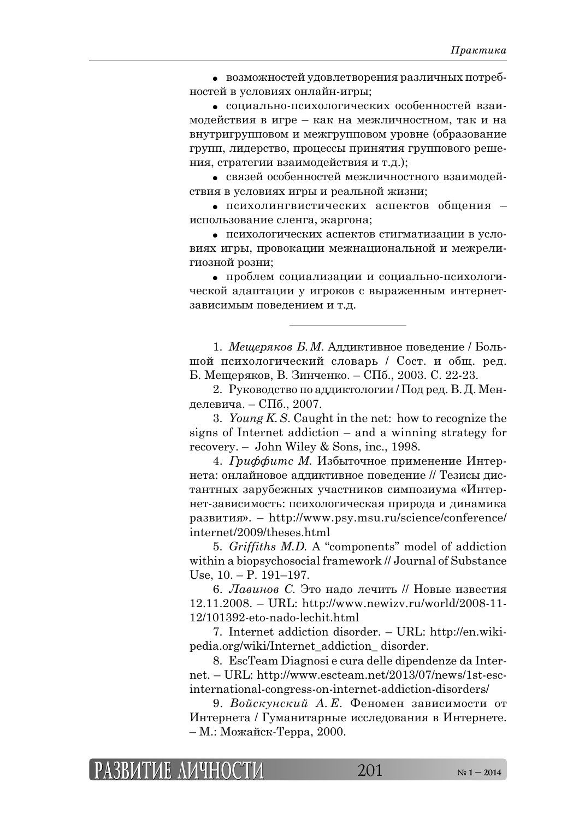• возможностей удовлетворения различных потребностей в условиях онлайн-игры;

• социально-психологических особенностей взаимодействия в игре – как на межличностном, так и на внутригрупповом и межгрупповом уровне (образование групп, лидерство, процессы принятия группового решения, стратегии взаимодействия и т.д.);

• связей особенностей межличностного взаимодействия в условиях игры и реальной жизни;

• психолингвистических аспектов общения – использование сленга, жаргона;

• психологических аспектов стигматизации в условиях игры, провокации межнациональной и межрелигиозной розни;

• проблем социализации и социально-психологической адаптации у игроков с выраженным интернетзависимым поведением и т.д.

1. *Мещеряков Б.М.* Аддиктивное поведение / Большой психологический словарь / Сост. и общ. ред. Б. Мещеряков, В. Зинченко. – СПб., 2003. С. 22-23.

2. Руководство по аддиктологии / Под ред. В. Д. Менделевича. – СПб., 2007.

3. *Young K. S*. Caught in the net: how to recognize the signs of Internet addiction – and a winning strategy for recovery. – John Wiley & Sons, inc., 1998.

4. *Гриффитс М.* Избыточное применение Интернета: онлайновое аддиктивное поведение // Тезисы дистантных зарубежных участников симпозиума «Интернет-зависимость: психологическая природа и динамика ȞȎȕȐȖȠȖȭ». – http://www.psy.msu.ru/science/conference/ internet/2009/theses.html

5. *Griffiths M.D.* A "components" model of addiction within a biopsychosocial framework // Journal of Substance Use,  $10. - P. 191 - 197.$ 

6. Лавинов С. Это надо лечить // Новые известия 12.11.2008. – URL: http://www.newizv.ru/world/2008-11- 12/101392-eto-nado-lechit.html

7. Internet addiction disorder. – URL: http://en.wikipedia.org/wiki/Internet\_addiction\_ disorder.

8. EscTeam Diagnosi e cura delle dipendenze da Internet. – URL: http://www.escteam.net/2013/07/news/1st-escinternational-congress-on-internet-addiction-disorders/

9. Войскунский А. Е. Феномен зависимости от Интернета / Гуманитарные исследования в Интернете. – М.: Можайск-Терра, 2000.